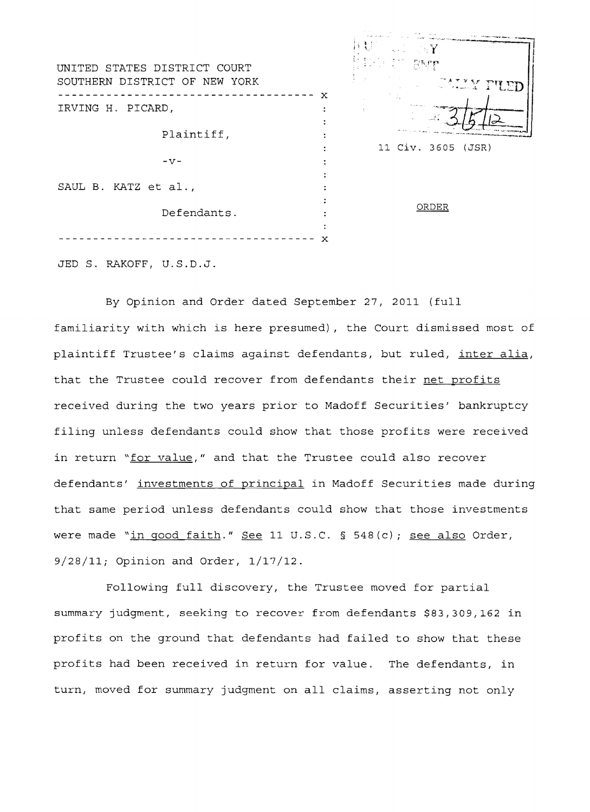| UNITED STATES DISTRICT COURT<br>SOUTHERN DISTRICT OF NEW YORK |   | $\mathbb{Z} \to Y$<br>olean awr<br>ALLY PUED |
|---------------------------------------------------------------|---|----------------------------------------------|
| IRVING H. PICARD,                                             | х |                                              |
| Plaintiff,                                                    |   |                                              |
| $-V -$                                                        |   | 11 Civ. 3605 (JSR)                           |
| SAUL B. KATZ et al.,                                          |   |                                              |
| Defendants.                                                   |   | ORDER                                        |
|                                                               | х |                                              |
| JED S. RAKOFF, U.S.D.J.                                       |   |                                              |

By Opinion and Order dated September 27, 2011 (full familiarity with which is here presumed), the Court dismissed most of plaintiff Trustee's claims against defendants, but ruled, inter alia, that the Trustee could recover from defendants their net profits received during the two years prior to Madoff Securities' bankruptcy filing unless defendants could show that those profits were received in return "for value," and that the Trustee could also recover defendants' investments of principal in Madoff Securities made during that same period unless defendants could show that those investments were made "in good faith." See 11 U.S.C. § 548(c); see also Order, 9/28/11; Opinion and Order, 1/17/12.

Following full discovery, the Trustee moved for partial summary judgment, seeking to recover from defendants \$83,309,162 in profits on the ground that defendants had failed to show that these profits had been received in return for value. The defendants, in turn, moved for summary judgment on all claims, asserting not only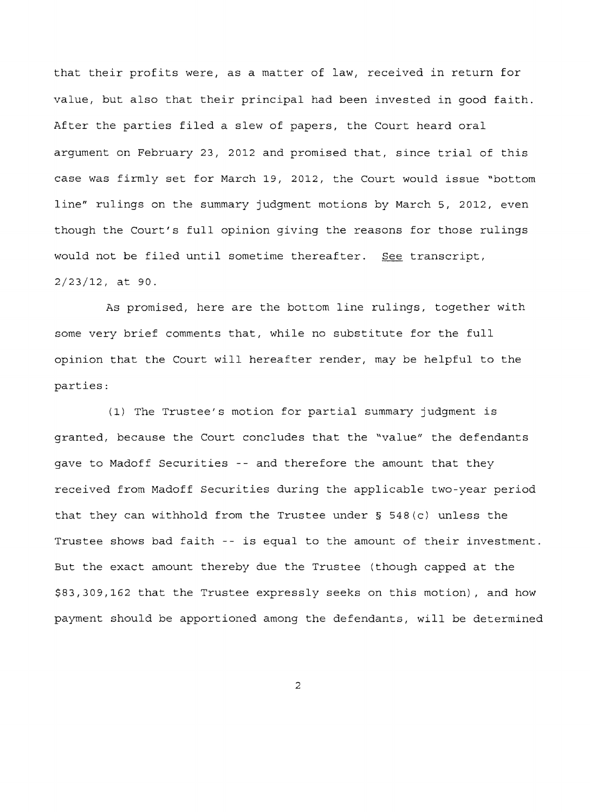that their profits were, as a matter of law, received in return for value, but also that their principal had been invested in good faith. After the parties filed a slew of papers, the Court heard oral argument on February 23, 2012 and promised that, since trial of this case was firmly set for March 19, 2012, the Court would issue ~bottom line" rulings on the summary judgment motions by March 5, 2012, even though the Court's full opinion giving the reasons for those rulings would not be filed until sometime thereafter. See transcript, 2/23/12, at 90.

As promised, here are the bottom line rulings, together with some very brief comments that, while no substitute for the full opinion that the Court will hereafter render, may be helpful to the parties:

(1) The Trustee's motion for partial summary judgment is granted, because the Court concludes that the "value" the defendants gave to Madoff Securities -- and therefore the amount that they received from Madoff Securities during the applicable two-year period that they can withhold from the Trustee under § 548(c) unless the Trustee shows bad faith -- is equal to the amount of their investment. But the exact amount thereby due the Trustee (though capped at the \$83,309,162 that the Trustee expressly seeks on this motion), and how payment should be apportioned among the defendants, will be determined

2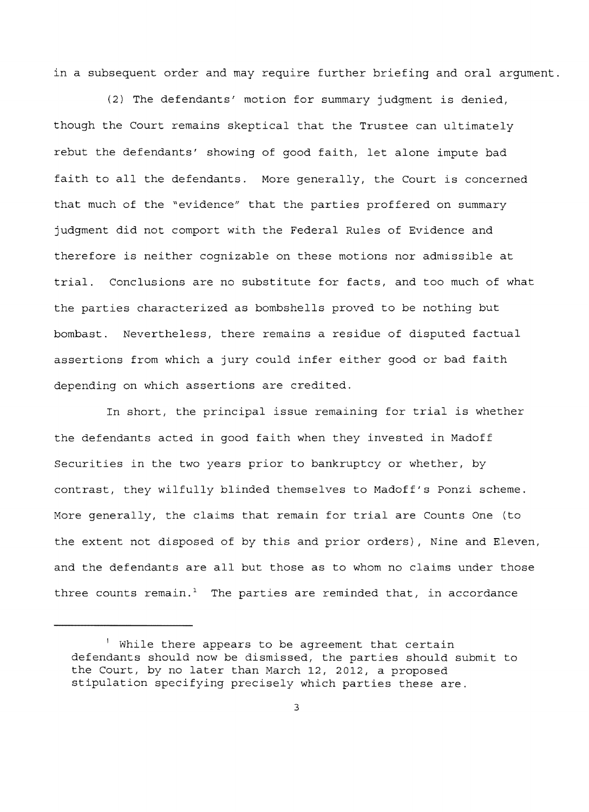in a subsequent order and may require further briefing and oral argument.

(2) The defendants' motion for summary judgment is denied, though the Court remains skeptical that the Trustee can ultimately rebut the defendants' showing of good faith, let alone impute bad faith to all the defendants. More generally, the Court is concerned that much of the "evidence" that the parties proffered on summary judgment did not comport with the Federal Rules of Evidence and therefore is neither cognizable on these motions nor admissible at trial. Conclusions are no substitute for facts, and too much of what the parties characterized as bombshells proved to be nothing but bombast. Nevertheless, there remains a residue of disputed factual assertions from which a jury could infer either good or bad faith depending on which assertions are credited.

In short, the principal issue remaining for trial is whether the defendants acted in good faith when they invested in Madoff Securities in the two years prior to bankruptcy or whether, by contrast, they wilfully blinded themselves to Madoff's Ponzi scheme. More generally, the claims that remain for trial are Counts One (to the extent not disposed of by this and prior orders), Nine and Eleven, and the defendants are all but those as to whom no claims under those three counts remain.<sup>1</sup> The parties are reminded that, in accordance

<sup>!</sup> While there appears to be agreement that certain defendants should now be dismissed, the parties should submit to the Court, by no later than March 12, 2012, a proposed stipulation specifying precisely which parties these are.